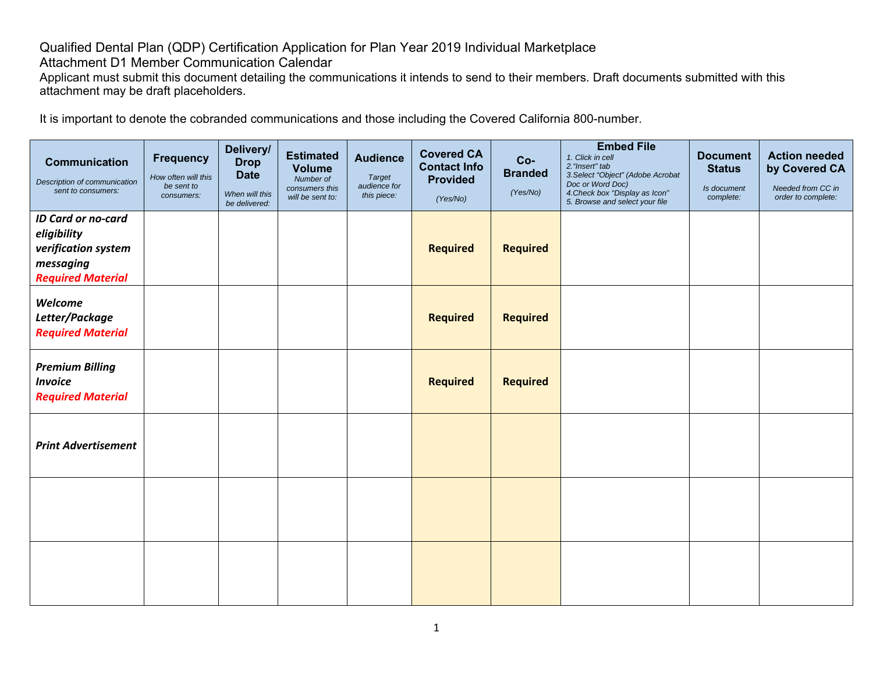## Qualified Dental Plan (QDP) Certification Application for Plan Year 2019 Individual Marketplace

Attachment D1 Member Communication Calendar

Applicant must submit this document detailing the communications it intends to send to their members. Draft documents submitted with this attachment may be draft placeholders.

It is important to denote the cobranded communications and those including the Covered California 800-number.

| <b>Communication</b><br>Description of communication<br>sent to consumers:                               | <b>Frequency</b><br>How often will this<br>be sent to<br>consumers: | Delivery/<br><b>Drop</b><br><b>Date</b><br>When will this<br>be delivered: | <b>Estimated</b><br><b>Volume</b><br>Number of<br>consumers this<br>will be sent to: | <b>Audience</b><br><b>Target</b><br>audience for<br>this piece: | <b>Covered CA</b><br><b>Contact Info</b><br><b>Provided</b><br>(Yes/No) | $Co-$<br><b>Branded</b><br>(Yes/No) | <b>Embed File</b><br>1. Click in cell<br>2. "Insert" tab<br>3. Select "Object" (Adobe Acrobat<br>Doc or Word Doc)<br>4. Check box "Display as Icon"<br>5. Browse and select your file | <b>Document</b><br><b>Status</b><br>Is document<br>complete: | <b>Action needed</b><br>by Covered CA<br>Needed from CC in<br>order to complete: |
|----------------------------------------------------------------------------------------------------------|---------------------------------------------------------------------|----------------------------------------------------------------------------|--------------------------------------------------------------------------------------|-----------------------------------------------------------------|-------------------------------------------------------------------------|-------------------------------------|---------------------------------------------------------------------------------------------------------------------------------------------------------------------------------------|--------------------------------------------------------------|----------------------------------------------------------------------------------|
| <b>ID Card or no-card</b><br>eligibility<br>verification system<br>messaging<br><b>Required Material</b> |                                                                     |                                                                            |                                                                                      |                                                                 | <b>Required</b>                                                         | <b>Required</b>                     |                                                                                                                                                                                       |                                                              |                                                                                  |
| Welcome<br>Letter/Package<br><b>Required Material</b>                                                    |                                                                     |                                                                            |                                                                                      |                                                                 | <b>Required</b>                                                         | <b>Required</b>                     |                                                                                                                                                                                       |                                                              |                                                                                  |
| <b>Premium Billing</b><br><b>Invoice</b><br><b>Required Material</b>                                     |                                                                     |                                                                            |                                                                                      |                                                                 | <b>Required</b>                                                         | <b>Required</b>                     |                                                                                                                                                                                       |                                                              |                                                                                  |
| <b>Print Advertisement</b>                                                                               |                                                                     |                                                                            |                                                                                      |                                                                 |                                                                         |                                     |                                                                                                                                                                                       |                                                              |                                                                                  |
|                                                                                                          |                                                                     |                                                                            |                                                                                      |                                                                 |                                                                         |                                     |                                                                                                                                                                                       |                                                              |                                                                                  |
|                                                                                                          |                                                                     |                                                                            |                                                                                      |                                                                 |                                                                         |                                     |                                                                                                                                                                                       |                                                              |                                                                                  |